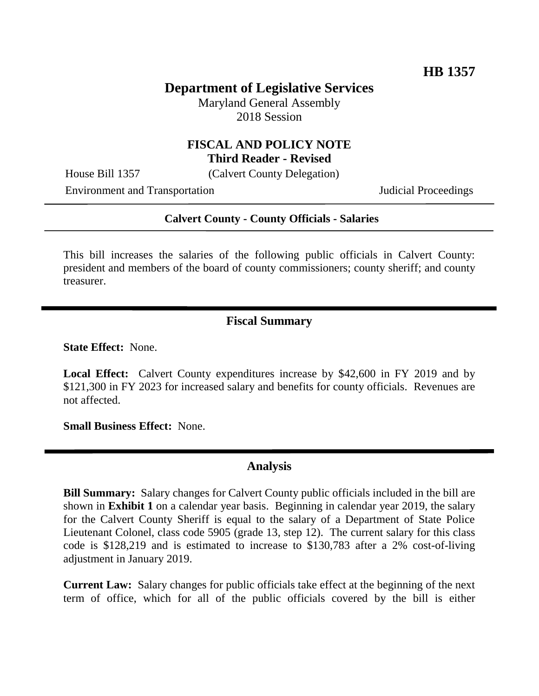## **Department of Legislative Services**

Maryland General Assembly 2018 Session

#### **FISCAL AND POLICY NOTE Third Reader - Revised**

House Bill 1357 (Calvert County Delegation)

Environment and Transportation **Internal Acceptual Proceedings** 

#### **Calvert County - County Officials - Salaries**

This bill increases the salaries of the following public officials in Calvert County: president and members of the board of county commissioners; county sheriff; and county treasurer.

### **Fiscal Summary**

**State Effect:** None.

**Local Effect:** Calvert County expenditures increase by \$42,600 in FY 2019 and by \$121,300 in FY 2023 for increased salary and benefits for county officials. Revenues are not affected.

**Small Business Effect:** None.

### **Analysis**

**Bill Summary:** Salary changes for Calvert County public officials included in the bill are shown in **Exhibit 1** on a calendar year basis. Beginning in calendar year 2019, the salary for the Calvert County Sheriff is equal to the salary of a Department of State Police Lieutenant Colonel, class code 5905 (grade 13, step 12). The current salary for this class code is \$128,219 and is estimated to increase to \$130,783 after a 2% cost-of-living adjustment in January 2019.

**Current Law:** Salary changes for public officials take effect at the beginning of the next term of office, which for all of the public officials covered by the bill is either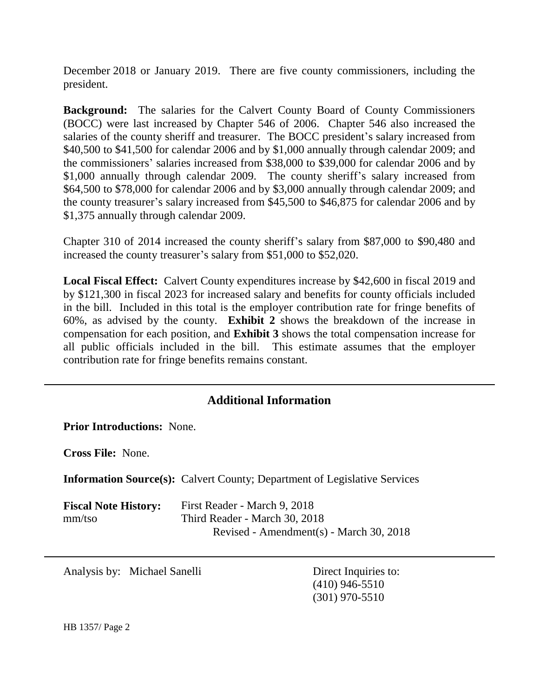December 2018 or January 2019. There are five county commissioners, including the president.

**Background:** The salaries for the Calvert County Board of County Commissioners (BOCC) were last increased by Chapter 546 of 2006. Chapter 546 also increased the salaries of the county sheriff and treasurer. The BOCC president's salary increased from \$40,500 to \$41,500 for calendar 2006 and by \$1,000 annually through calendar 2009; and the commissioners' salaries increased from \$38,000 to \$39,000 for calendar 2006 and by \$1,000 annually through calendar 2009. The county sheriff's salary increased from \$64,500 to \$78,000 for calendar 2006 and by \$3,000 annually through calendar 2009; and the county treasurer's salary increased from \$45,500 to \$46,875 for calendar 2006 and by \$1,375 annually through calendar 2009.

Chapter 310 of 2014 increased the county sheriff's salary from \$87,000 to \$90,480 and increased the county treasurer's salary from \$51,000 to \$52,020.

**Local Fiscal Effect:** Calvert County expenditures increase by \$42,600 in fiscal 2019 and by \$121,300 in fiscal 2023 for increased salary and benefits for county officials included in the bill. Included in this total is the employer contribution rate for fringe benefits of 60%, as advised by the county. **Exhibit 2** shows the breakdown of the increase in compensation for each position, and **Exhibit 3** shows the total compensation increase for all public officials included in the bill. This estimate assumes that the employer contribution rate for fringe benefits remains constant.

# **Additional Information**

**Prior Introductions:** None.

**Cross File:** None.

**Information Source(s):** Calvert County; Department of Legislative Services

| <b>Fiscal Note History:</b> | First Reader - March 9, 2018            |
|-----------------------------|-----------------------------------------|
| mm/tso                      | Third Reader - March 30, 2018           |
|                             | Revised - Amendment(s) - March 30, 2018 |

Analysis by: Michael Sanelli Direct Inquiries to:

(410) 946-5510 (301) 970-5510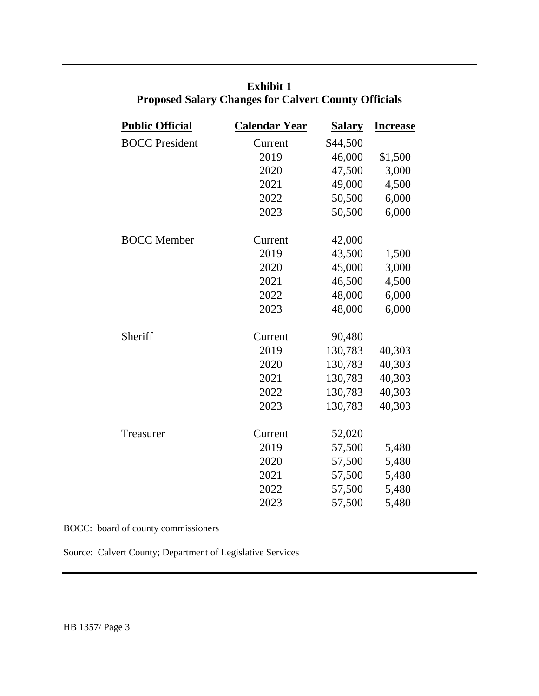| <b>Public Official</b> | <b>Calendar Year</b> | <u>Salary</u> | <b>Increase</b> |
|------------------------|----------------------|---------------|-----------------|
| <b>BOCC</b> President  | Current              | \$44,500      |                 |
|                        | 2019                 | 46,000        | \$1,500         |
|                        | 2020                 | 47,500        | 3,000           |
|                        | 2021                 | 49,000        | 4,500           |
|                        | 2022                 | 50,500        | 6,000           |
|                        | 2023                 | 50,500        | 6,000           |
| <b>BOCC</b> Member     | Current              | 42,000        |                 |
|                        | 2019                 | 43,500        | 1,500           |
|                        | 2020                 | 45,000        | 3,000           |
|                        | 2021                 | 46,500        | 4,500           |
|                        | 2022                 | 48,000        | 6,000           |
|                        | 2023                 | 48,000        | 6,000           |
| Sheriff                | Current              | 90,480        |                 |
|                        | 2019                 | 130,783       | 40,303          |
|                        | 2020                 | 130,783       | 40,303          |
|                        | 2021                 | 130,783       | 40,303          |
|                        | 2022                 | 130,783       | 40,303          |
|                        | 2023                 | 130,783       | 40,303          |
| Treasurer              | Current              | 52,020        |                 |
|                        | 2019                 | 57,500        | 5,480           |
|                        | 2020                 | 57,500        | 5,480           |
|                        | 2021                 | 57,500        | 5,480           |
|                        | 2022                 | 57,500        | 5,480           |
|                        | 2023                 | 57,500        | 5,480           |
|                        |                      |               |                 |

# **Exhibit 1 Proposed Salary Changes for Calvert County Officials**

BOCC: board of county commissioners

Source: Calvert County; Department of Legislative Services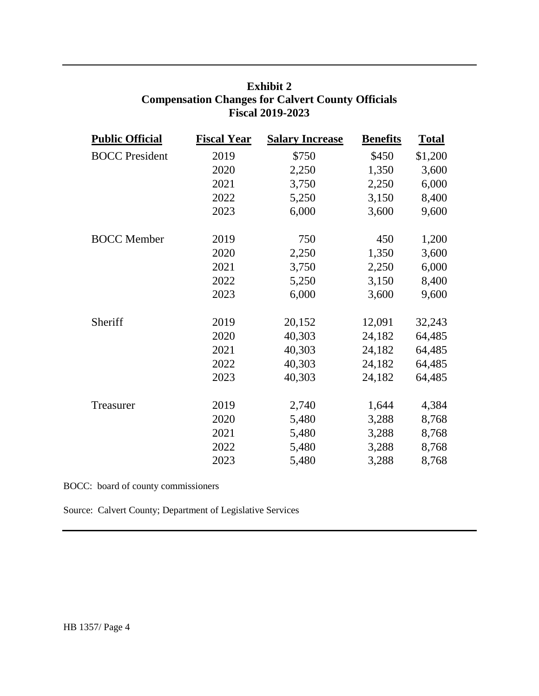| <b>Public Official</b> | <b>Fiscal Year</b> | <b>Salary Increase</b> | <b>Benefits</b> | <b>Total</b> |
|------------------------|--------------------|------------------------|-----------------|--------------|
| <b>BOCC</b> President  | 2019               | \$750                  | \$450           | \$1,200      |
|                        | 2020               | 2,250                  | 1,350           | 3,600        |
|                        | 2021               | 3,750                  | 2,250           | 6,000        |
|                        | 2022               | 5,250                  | 3,150           | 8,400        |
|                        | 2023               | 6,000                  | 3,600           | 9,600        |
| <b>BOCC</b> Member     | 2019               | 750                    | 450             | 1,200        |
|                        | 2020               | 2,250                  | 1,350           | 3,600        |
|                        | 2021               | 3,750                  | 2,250           | 6,000        |
|                        | 2022               | 5,250                  | 3,150           | 8,400        |
|                        | 2023               | 6,000                  | 3,600           | 9,600        |
| Sheriff                | 2019               | 20,152                 | 12,091          | 32,243       |
|                        | 2020               | 40,303                 | 24,182          | 64,485       |
|                        | 2021               | 40,303                 | 24,182          | 64,485       |
|                        | 2022               | 40,303                 | 24,182          | 64,485       |
|                        | 2023               | 40,303                 | 24,182          | 64,485       |
| Treasurer              | 2019               | 2,740                  | 1,644           | 4,384        |
|                        | 2020               | 5,480                  | 3,288           | 8,768        |
|                        | 2021               | 5,480                  | 3,288           | 8,768        |
|                        | 2022               | 5,480                  | 3,288           | 8,768        |
|                        | 2023               | 5,480                  | 3,288           | 8,768        |

# **Exhibit 2 Compensation Changes for Calvert County Officials Fiscal 2019-2023**

BOCC: board of county commissioners

Source: Calvert County; Department of Legislative Services